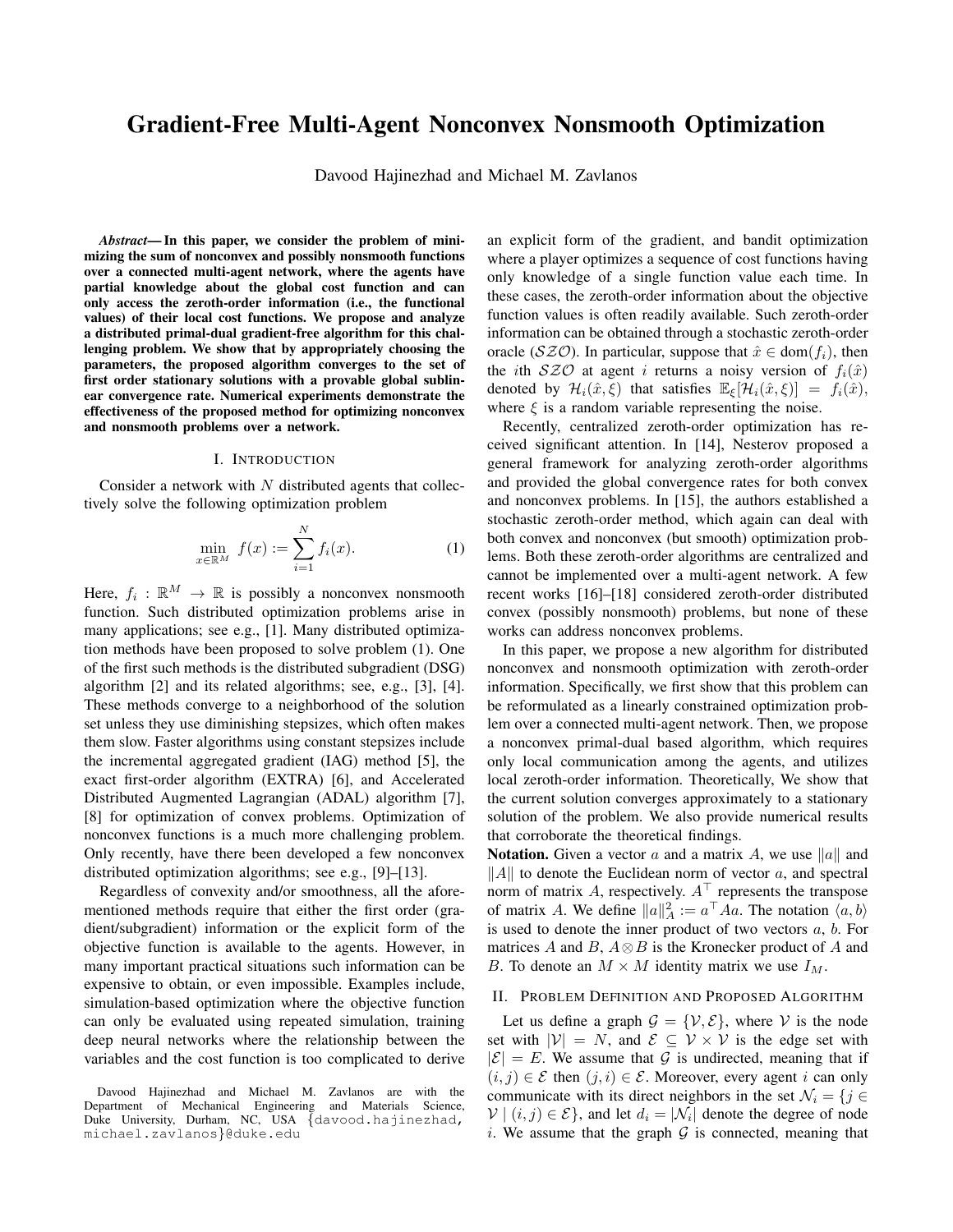# Gradient-Free Multi-Agent Nonconvex Nonsmooth Optimization

Davood Hajinezhad and Michael M. Zavlanos

*Abstract*— In this paper, we consider the problem of minimizing the sum of nonconvex and possibly nonsmooth functions over a connected multi-agent network, where the agents have partial knowledge about the global cost function and can only access the zeroth-order information (i.e., the functional values) of their local cost functions. We propose and analyze a distributed primal-dual gradient-free algorithm for this challenging problem. We show that by appropriately choosing the parameters, the proposed algorithm converges to the set of first order stationary solutions with a provable global sublinear convergence rate. Numerical experiments demonstrate the effectiveness of the proposed method for optimizing nonconvex and nonsmooth problems over a network.

## I. INTRODUCTION

Consider a network with  $N$  distributed agents that collectively solve the following optimization problem

$$
\min_{x \in \mathbb{R}^M} f(x) := \sum_{i=1}^N f_i(x).
$$
 (1)

Here,  $f_i : \mathbb{R}^M \to \mathbb{R}$  is possibly a nonconvex nonsmooth function. Such distributed optimization problems arise in many applications; see e.g., [1]. Many distributed optimization methods have been proposed to solve problem (1). One of the first such methods is the distributed subgradient (DSG) algorithm [2] and its related algorithms; see, e.g., [3], [4]. These methods converge to a neighborhood of the solution set unless they use diminishing stepsizes, which often makes them slow. Faster algorithms using constant stepsizes include the incremental aggregated gradient (IAG) method [5], the exact first-order algorithm (EXTRA) [6], and Accelerated Distributed Augmented Lagrangian (ADAL) algorithm [7], [8] for optimization of convex problems. Optimization of nonconvex functions is a much more challenging problem. Only recently, have there been developed a few nonconvex distributed optimization algorithms; see e.g., [9]–[13].

Regardless of convexity and/or smoothness, all the aforementioned methods require that either the first order (gradient/subgradient) information or the explicit form of the objective function is available to the agents. However, in many important practical situations such information can be expensive to obtain, or even impossible. Examples include, simulation-based optimization where the objective function can only be evaluated using repeated simulation, training deep neural networks where the relationship between the variables and the cost function is too complicated to derive an explicit form of the gradient, and bandit optimization where a player optimizes a sequence of cost functions having only knowledge of a single function value each time. In these cases, the zeroth-order information about the objective function values is often readily available. Such zeroth-order information can be obtained through a stochastic zeroth-order oracle (SZO). In particular, suppose that  $\hat{x} \in \text{dom}(f_i)$ , then the *i*th  $SZO$  at agent *i* returns a noisy version of  $f_i(\hat{x})$ denoted by  $\mathcal{H}_i(\hat{x}, \xi)$  that satisfies  $\mathbb{E}_{\xi}[\mathcal{H}_i(\hat{x}, \xi)] = f_i(\hat{x}),$ where  $\xi$  is a random variable representing the noise.

Recently, centralized zeroth-order optimization has received significant attention. In [14], Nesterov proposed a general framework for analyzing zeroth-order algorithms and provided the global convergence rates for both convex and nonconvex problems. In [15], the authors established a stochastic zeroth-order method, which again can deal with both convex and nonconvex (but smooth) optimization problems. Both these zeroth-order algorithms are centralized and cannot be implemented over a multi-agent network. A few recent works [16]–[18] considered zeroth-order distributed convex (possibly nonsmooth) problems, but none of these works can address nonconvex problems.

In this paper, we propose a new algorithm for distributed nonconvex and nonsmooth optimization with zeroth-order information. Specifically, we first show that this problem can be reformulated as a linearly constrained optimization problem over a connected multi-agent network. Then, we propose a nonconvex primal-dual based algorithm, which requires only local communication among the agents, and utilizes local zeroth-order information. Theoretically, We show that the current solution converges approximately to a stationary solution of the problem. We also provide numerical results that corroborate the theoretical findings.

**Notation.** Given a vector a and a matrix A, we use  $\|a\|$  and  $\Vert A \Vert$  to denote the Euclidean norm of vector a, and spectral norm of matrix A, respectively.  $A^{\top}$  represents the transpose of matrix A. We define  $||a||_A^2 := a^{\top} A a$ . The notation  $\langle a, b \rangle$ is used to denote the inner product of two vectors  $a, b$ . For matrices A and B,  $A \otimes B$  is the Kronecker product of A and B. To denote an  $M \times M$  identity matrix we use  $I_M$ .

#### II. PROBLEM DEFINITION AND PROPOSED ALGORITHM

Let us define a graph  $\mathcal{G} = \{V, \mathcal{E}\}\$ , where V is the node set with  $|V| = N$ , and  $\mathcal{E} \subseteq V \times V$  is the edge set with  $|\mathcal{E}| = E$ . We assume that G is undirected, meaning that if  $(i, j) \in \mathcal{E}$  then  $(j, i) \in \mathcal{E}$ . Moreover, every agent i can only communicate with its direct neighbors in the set  $\mathcal{N}_i = \{j \in$  $V | (i, j) \in \mathcal{E}$ , and let  $d_i = |\mathcal{N}_i|$  denote the degree of node i. We assume that the graph  $G$  is connected, meaning that

Davood Hajinezhad and Michael M. Zavlanos are with the Department of Mechanical Engineering and Materials Science, Duke University, Durham, NC, USA {davood.hajinezhad, michael.zavlanos}@duke.edu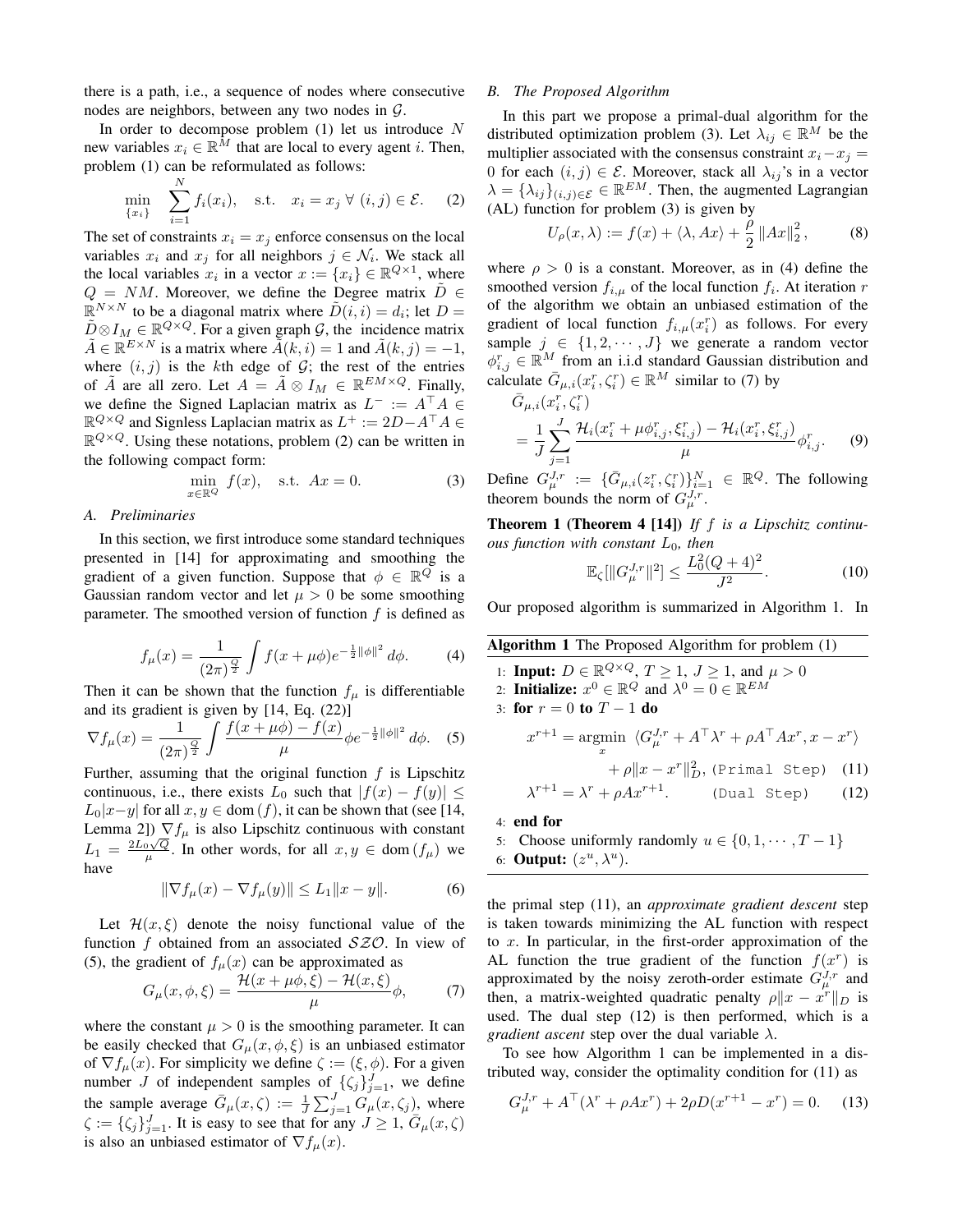there is a path, i.e., a sequence of nodes where consecutive nodes are neighbors, between any two nodes in G.

In order to decompose problem  $(1)$  let us introduce N new variables  $x_i \in \mathbb{R}^{\tilde{M}}$  that are local to every agent i. Then, problem (1) can be reformulated as follows:

$$
\min_{\{x_i\}} \quad \sum_{i=1}^N f_i(x_i), \quad \text{s.t.} \quad x_i = x_j \ \forall \ (i, j) \in \mathcal{E}. \tag{2}
$$

The set of constraints  $x_i = x_j$  enforce consensus on the local variables  $x_i$  and  $x_j$  for all neighbors  $j \in \mathcal{N}_i$ . We stack all the local variables  $x_i$  in a vector  $x := \{x_i\} \in \mathbb{R}^{Q \times 1}$ , where  $Q = NM$ . Moreover, we define the Degree matrix  $\tilde{D} \in$  $\mathbb{R}^{N \times N}$  to be a diagonal matrix where  $\tilde{D}(i, i) = d_i$ ; let  $D =$  $\tilde{D} \otimes I_M \in \mathbb{R}^{Q \times Q}$ . For a given graph  $\mathcal{G}$ , the incidence matrix  $\tilde{A} \in \mathbb{R}^{E \times N}$  is a matrix where  $\tilde{\tilde{A}}(k, i) = 1$  and  $\tilde{A}(k, j) = -1$ , where  $(i, j)$  is the kth edge of  $G$ ; the rest of the entries of  $\tilde{A}$  are all zero. Let  $A = \tilde{A} \otimes I_M \in \mathbb{R}^{EM \times Q}$ . Finally, we define the Signed Laplacian matrix as  $L^- := A^{\top} A \in$  $\mathbb{R}^{Q \times Q}$  and Signless Laplacian matrix as  $L^+ := 2D - A^\top A \in$  $\mathbb{R}^{Q \times Q}$ . Using these notations, problem (2) can be written in the following compact form:

$$
\min_{x \in \mathbb{R}^Q} f(x), \quad \text{s.t.} \quad Ax = 0. \tag{3}
$$

## *A. Preliminaries*

In this section, we first introduce some standard techniques presented in [14] for approximating and smoothing the gradient of a given function. Suppose that  $\phi \in \mathbb{R}^Q$  is a Gaussian random vector and let  $\mu > 0$  be some smoothing parameter. The smoothed version of function  $f$  is defined as

$$
f_{\mu}(x) = \frac{1}{(2\pi)^{\frac{Q}{2}}} \int f(x + \mu \phi) e^{-\frac{1}{2} ||\phi||^2} d\phi.
$$
 (4)

Then it can be shown that the function  $f_{\mu}$  is differentiable and its gradient is given by [14, Eq. (22)]

$$
\nabla f_{\mu}(x) = \frac{1}{(2\pi)^{\frac{Q}{2}}} \int \frac{f(x + \mu\phi) - f(x)}{\mu} \phi e^{-\frac{1}{2} ||\phi||^2} d\phi. \quad (5)
$$

Further, assuming that the original function  $f$  is Lipschitz continuous, i.e., there exists  $L_0$  such that  $|f(x) - f(y)| \le$  $L_0|x-y|$  for all  $x, y \in \text{dom}(f)$ , it can be shown that (see [14, Lemma 2])  $\nabla f_\mu$  is also Lipschitz continuous with constant  $L_1 = \frac{2L_0\sqrt{Q}}{\mu}$ . In other words, for all  $x, y \in \text{dom}(f_{\mu})$  we have

$$
\|\nabla f_{\mu}(x) - \nabla f_{\mu}(y)\| \le L_1 \|x - y\|.
$$
 (6)

Let  $\mathcal{H}(x,\xi)$  denote the noisy functional value of the function f obtained from an associated  $SZO$ . In view of (5), the gradient of  $f_{\mu}(x)$  can be approximated as

$$
G_{\mu}(x,\phi,\xi) = \frac{\mathcal{H}(x+\mu\phi,\xi) - \mathcal{H}(x,\xi)}{\mu}\phi, \qquad (7)
$$

where the constant  $\mu > 0$  is the smoothing parameter. It can be easily checked that  $G_{\mu}(x, \phi, \xi)$  is an unbiased estimator of  $\nabla f_\mu(x)$ . For simplicity we define  $\zeta := (\xi, \phi)$ . For a given number J of independent samples of  $\{\zeta_j\}_{j=1}^J$ , we define the sample average  $\bar{G}_{\mu}(x,\zeta) := \frac{1}{J} \sum_{j=1}^{J} G_{\mu}(x,\zeta_j)$ , where  $\zeta := {\zeta_j}_{j=1}^J$ . It is easy to see that for any  $J \ge 1$ ,  $\bar{G}_{\mu}(x, \zeta)$ is also an unbiased estimator of  $\nabla f_\mu(x)$ .

# *B. The Proposed Algorithm*

In this part we propose a primal-dual algorithm for the distributed optimization problem (3). Let  $\lambda_{ij} \in \mathbb{R}^M$  be the multiplier associated with the consensus constraint  $x_i - x_j =$ 0 for each  $(i, j) \in \mathcal{E}$ . Moreover, stack all  $\lambda_{ij}$ 's in a vector  $\lambda = {\lambda_{ij}}_{(i,j) \in \mathcal{E}} \in \mathbb{R}^{EM}$ . Then, the augmented Lagrangian (AL) function for problem (3) is given by

$$
U_{\rho}(x,\lambda) := f(x) + \langle \lambda, Ax \rangle + \frac{\rho}{2} ||Ax||_2^2, \tag{8}
$$

where  $\rho > 0$  is a constant. Moreover, as in (4) define the smoothed version  $f_{i,\mu}$  of the local function  $f_i$ . At iteration r of the algorithm we obtain an unbiased estimation of the gradient of local function  $f_{i,\mu}(x_i^r)$  as follows. For every sample  $j \in \{1, 2, \dots, J\}$  we generate a random vector  $\phi_{i,j}^r \in \mathbb{R}^M$  from an i.i.d standard Gaussian distribution and calculate  $\bar{G}_{\mu,i}(x_i^r, \zeta_i^r) \in \mathbb{R}^M$  similar to (7) by

$$
\bar{G}_{\mu,i}(x_i^r, \zeta_i^r) = \frac{1}{J} \sum_{j=1}^{J} \frac{\mathcal{H}_i(x_i^r + \mu \phi_{i,j}^r, \xi_{i,j}^r) - \mathcal{H}_i(x_i^r, \xi_{i,j}^r)}{\mu} \phi_{i,j}^r.
$$
\n(9)

Define  $G_{\mu}^{J,r} := \{\bar{G}_{\mu,i}(z_i^r, \zeta_i^r)\}_{i=1}^N \in \mathbb{R}^Q$ . The following theorem bounds the norm of  $G_{\mu}^{J,r}$ .

Theorem 1 (Theorem 4 [14]) *If* f *is a Lipschitz continuous function with constant* L0*, then*

$$
\mathbb{E}_{\zeta}[\|G_{\mu}^{J,r}\|^2] \le \frac{L_0^2(Q+4)^2}{J^2}.\tag{10}
$$

Our proposed algorithm is summarized in Algorithm 1. In

| <b>Algorithm 1</b> The Proposed Algorithm for problem (1)                                                                                                                 |  |
|---------------------------------------------------------------------------------------------------------------------------------------------------------------------------|--|
| 1: <b>Input:</b> $D \in \mathbb{R}^{Q \times Q}$ , $T \ge 1$ , $J \ge 1$ , and $\mu > 0$<br>2: Initialize: $x^0 \in \mathbb{R}^Q$ and $\lambda^0 = 0 \in \mathbb{R}^{EM}$ |  |
| 3: for $r=0$ to $T-1$ do                                                                                                                                                  |  |
| $x^{r+1} = \operatorname{argmin} \langle G_{\mu}^{J,r} + A^{\top} \lambda^r + \rho A^{\top} A x^r, x - x^r \rangle$<br>$\boldsymbol{x}$                                   |  |
| $+\rho \ x-x^r\ ^2_D$ , (Primal Step) (11)                                                                                                                                |  |
| $\lambda^{r+1} = \lambda^r + \rho A x^{r+1}$ . (Dual Step) (12)                                                                                                           |  |
| $4:$ end for                                                                                                                                                              |  |

5: Choose uniformly randomly  $u \in \{0, 1, \dots, T-1\}$ 6: **Output:**  $(z^u, \lambda^u)$ .

the primal step (11), an *approximate gradient descent* step is taken towards minimizing the AL function with respect to  $x$ . In particular, in the first-order approximation of the AL function the true gradient of the function  $f(x^r)$  is approximated by the noisy zeroth-order estimate  $G_{\mu}^{J,r}$  and then, a matrix-weighted quadratic penalty  $\rho \|x - x^r\|_D$  is used. The dual step (12) is then performed, which is a *gradient ascent* step over the dual variable  $\lambda$ .

To see how Algorithm 1 can be implemented in a distributed way, consider the optimality condition for (11) as

$$
G_{\mu}^{J,r} + A^{\top}(\lambda^r + \rho Ax^r) + 2\rho D(x^{r+1} - x^r) = 0.
$$
 (13)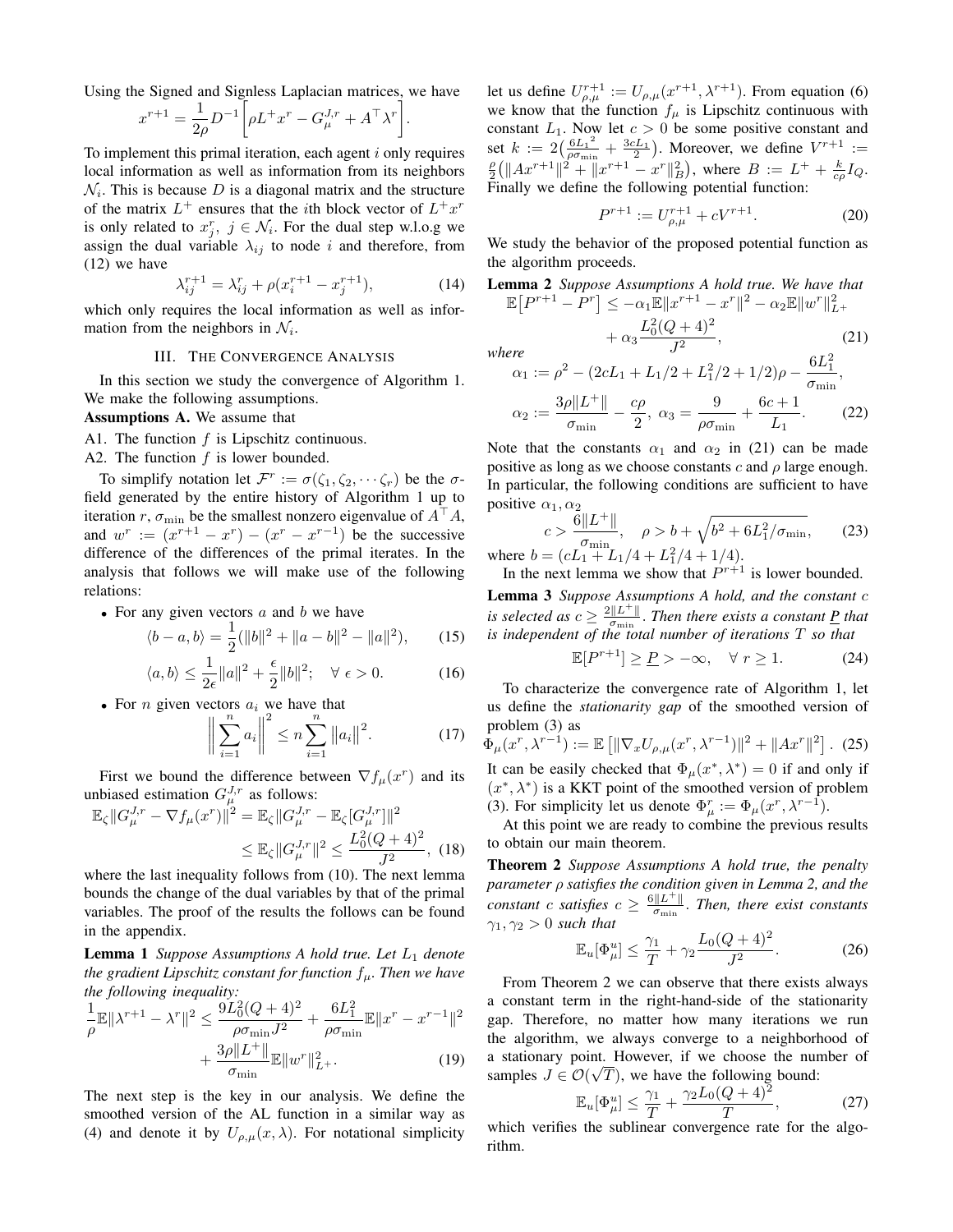Using the Signed and Signless Laplacian matrices, we have

$$
x^{r+1} = \frac{1}{2\rho} D^{-1} \bigg[ \rho L^+ x^r - G_{\mu}^{J,r} + A^{\top} \lambda^r \bigg].
$$

To implement this primal iteration, each agent  $i$  only requires local information as well as information from its neighbors  $\mathcal{N}_i$ . This is because D is a diagonal matrix and the structure of the matrix  $L^+$  ensures that the *i*th block vector of  $L^+x^r$ is only related to  $x_j^r$ ,  $j \in \mathcal{N}_i$ . For the dual step w.l.o.g we assign the dual variable  $\lambda_{ij}$  to node i and therefore, from (12) we have

$$
\lambda_{ij}^{r+1} = \lambda_{ij}^r + \rho(x_i^{r+1} - x_j^{r+1}),\tag{14}
$$

which only requires the local information as well as information from the neighbors in  $\mathcal{N}_i$ .

## III. THE CONVERGENCE ANALYSIS

In this section we study the convergence of Algorithm 1. We make the following assumptions.

Assumptions A. We assume that

A1. The function  $f$  is Lipschitz continuous.

A2. The function  $f$  is lower bounded.

To simplify notation let  $\mathcal{F}^r := \sigma(\zeta_1, \zeta_2, \cdots, \zeta_r)$  be the  $\sigma$ field generated by the entire history of Algorithm 1 up to iteration r,  $\sigma_{\min}$  be the smallest nonzero eigenvalue of  $A^{\dagger}A$ , and  $w^r := (x^{r+1} - x^r) - (x^r - x^{r-1})$  be the successive difference of the differences of the primal iterates. In the analysis that follows we will make use of the following relations:

• For any given vectors  $a$  and  $b$  we have

$$
\langle b - a, b \rangle = \frac{1}{2} (||b||^2 + ||a - b||^2 - ||a||^2), \qquad (15)
$$

$$
\langle a, b \rangle \le \frac{1}{2\epsilon} \|a\|^2 + \frac{\epsilon}{2} \|b\|^2; \quad \forall \ \epsilon > 0. \tag{16}
$$

• For *n* given vectors  $a_i$  we have that

$$
\left\| \sum_{i=1}^{n} a_i \right\|^2 \le n \sum_{i=1}^{n} \|a_i\|^2.
$$
 (17)

First we bound the difference between  $\nabla f_\mu(x^r)$  and its unbiased estimation  $G_{\mu}^{J,r}$  as follows:

$$
\mathbb{E}_{\zeta} ||G_{\mu}^{J,r} - \nabla f_{\mu}(x^r)||^2 = \mathbb{E}_{\zeta} ||G_{\mu}^{J,r} - \mathbb{E}_{\zeta} [G_{\mu}^{J,r}||^2
$$
  

$$
\leq \mathbb{E}_{\zeta} ||G_{\mu}^{J,r}||^2 \leq \frac{L_0^2 (Q+4)^2}{J^2},
$$
(18)

where the last inequality follows from (10). The next lemma bounds the change of the dual variables by that of the primal variables. The proof of the results the follows can be found in the appendix.

**Lemma 1** *Suppose Assumptions A hold true. Let*  $L_1$  *denote the gradient Lipschitz constant for function*  $f_{\mu}$ *. Then we have the following inequality:*

$$
\frac{1}{\rho} \mathbb{E} \| \lambda^{r+1} - \lambda^r \|^2 \le \frac{9L_0^2 (Q+4)^2}{\rho \sigma_{\min} J^2} + \frac{6L_1^2}{\rho \sigma_{\min}} \mathbb{E} \| x^r - x^{r-1} \|^2
$$

$$
+ \frac{3\rho \| L^+ \|}{\sigma_{\min}} \mathbb{E} \| w^r \|^2_{L^+}.
$$
(19)

The next step is the key in our analysis. We define the smoothed version of the AL function in a similar way as (4) and denote it by  $U_{\rho,\mu}(x,\lambda)$ . For notational simplicity

let us define  $U_{\rho,\mu}^{r+1} := U_{\rho,\mu}(x^{r+1},\lambda^{r+1})$ . From equation (6) we know that the function  $f_{\mu}$  is Lipschitz continuous with constant  $L_1$ . Now let  $c > 0$  be some positive constant and set  $k := 2(\frac{6L_1^2}{2C_1})$  $\frac{6L_1^2}{\rho \sigma_{\min}} + \frac{3cL_1}{2}$ ). Moreover, we define  $V^{r+1}$  :=  $\frac{p}{2}(\|Ax^{r+1}\|^2 + \|x^{r+1} - x^r\|^2_B)$ , where  $B := L^+ + \frac{k}{c\rho}I_Q$ . Finally we define the following potential function:

$$
P^{r+1} := U_{\rho,\mu}^{r+1} + cV^{r+1}.
$$
 (20)

We study the behavior of the proposed potential function as the algorithm proceeds.

**Lemma 2** Suppose Assumptions A hold true. We have that  
\n
$$
\mathbb{E}\left[P^{r+1} - P^r\right] \le -\alpha_1 \mathbb{E} \|x^{r+1} - x^r\|^2 - \alpha_2 \mathbb{E} \|w^r\|_{L^+}^2 + \alpha_3 \frac{L_0^2 (Q+4)^2}{r^2},
$$
\n(21)

*where*

here  
\n
$$
\alpha_1 := \rho^2 - (2cL_1 + L_1/2 + L_1^2/2 + 1/2)\rho - \frac{6L_1^2}{\sigma_{\min}},
$$
\n
$$
\alpha_2 := \frac{3\rho \|L^+\|}{\sigma_{\min}} - \frac{c\rho}{2}, \ \alpha_3 = \frac{9}{\rho\sigma_{\min}} + \frac{6c+1}{L_1}.
$$
\n(22)

Note that the constants  $\alpha_1$  and  $\alpha_2$  in (21) can be made positive as long as we choose constants c and  $\rho$  large enough. In particular, the following conditions are sufficient to have positive  $\alpha_1, \alpha_2$ 

$$
c > \frac{6||L^+||}{\sigma_{\min}}, \quad \rho > b + \sqrt{b^2 + 6L_1^2/\sigma_{\min}}, \qquad (23)
$$
  
where  $b = (cL_1 + L_1/4 + L_1^2/4 + 1/4).$ 

In the next lemma we show that  $P^{r+1}$  is lower bounded.

Lemma 3 *Suppose Assumptions A hold, and the constant* c *is selected as*  $c \geq \frac{2||L^+||}{\sigma}$  $\frac{d\|E^T\|}{d\sigma_{\min}}$ . Then there exists a constant <u>P</u> that *is independent of the total number of iterations* T *so that*

$$
\mathbb{E}[P^{r+1}] \ge \underline{P} > -\infty, \quad \forall \ r \ge 1. \tag{24}
$$

To characterize the convergence rate of Algorithm 1, let us define the *stationarity gap* of the smoothed version of problem (3) as

$$
\Phi_{\mu}(x^r, \lambda^{r-1}) := \mathbb{E}\left[\|\nabla_x U_{\rho,\mu}(x^r, \lambda^{r-1})\|^2 + \|Ax^r\|^2\right]. \tag{25}
$$
  
It can be easily checked that  $\Phi_{\mu}(x^*, \lambda^*) = 0$  if and only if  $(x^*, \lambda^*)$  is a KKT point of the smoothed version of problem (3). For simplicity let us denote  $\Phi_{\mu}^r := \Phi_{\mu}(x^r, \lambda^{r-1})$ .

At this point we are ready to combine the previous results to obtain our main theorem.

Theorem 2 *Suppose Assumptions A hold true, the penalty parameter* ρ *satisfies the condition given in Lemma 2, and the constant* c *satisfies*  $c \geq \frac{6||L^+||}{\sigma}$  $\frac{\|L^{\perp}\|}{\sigma_{\min}}$ . Then, there exist constants  $\gamma_1, \gamma_2 > 0$  *such that* 

$$
\mathbb{E}_u[\Phi^u_\mu] \le \frac{\gamma_1}{T} + \gamma_2 \frac{L_0(Q+4)^2}{J^2}.
$$
 (26)

From Theorem 2 we can observe that there exists always a constant term in the right-hand-side of the stationarity gap. Therefore, no matter how many iterations we run the algorithm, we always converge to a neighborhood of a stationary point. However, if we choose the number of samples  $J \in \mathcal{O}(\sqrt{T})$ , we have the following bound:

$$
\mathbb{E}_u[\Phi_\mu^u] \le \frac{\gamma_1}{T} + \frac{\gamma_2 L_0 (Q+4)^2}{T},\tag{27}
$$

which verifies the sublinear convergence rate for the algorithm.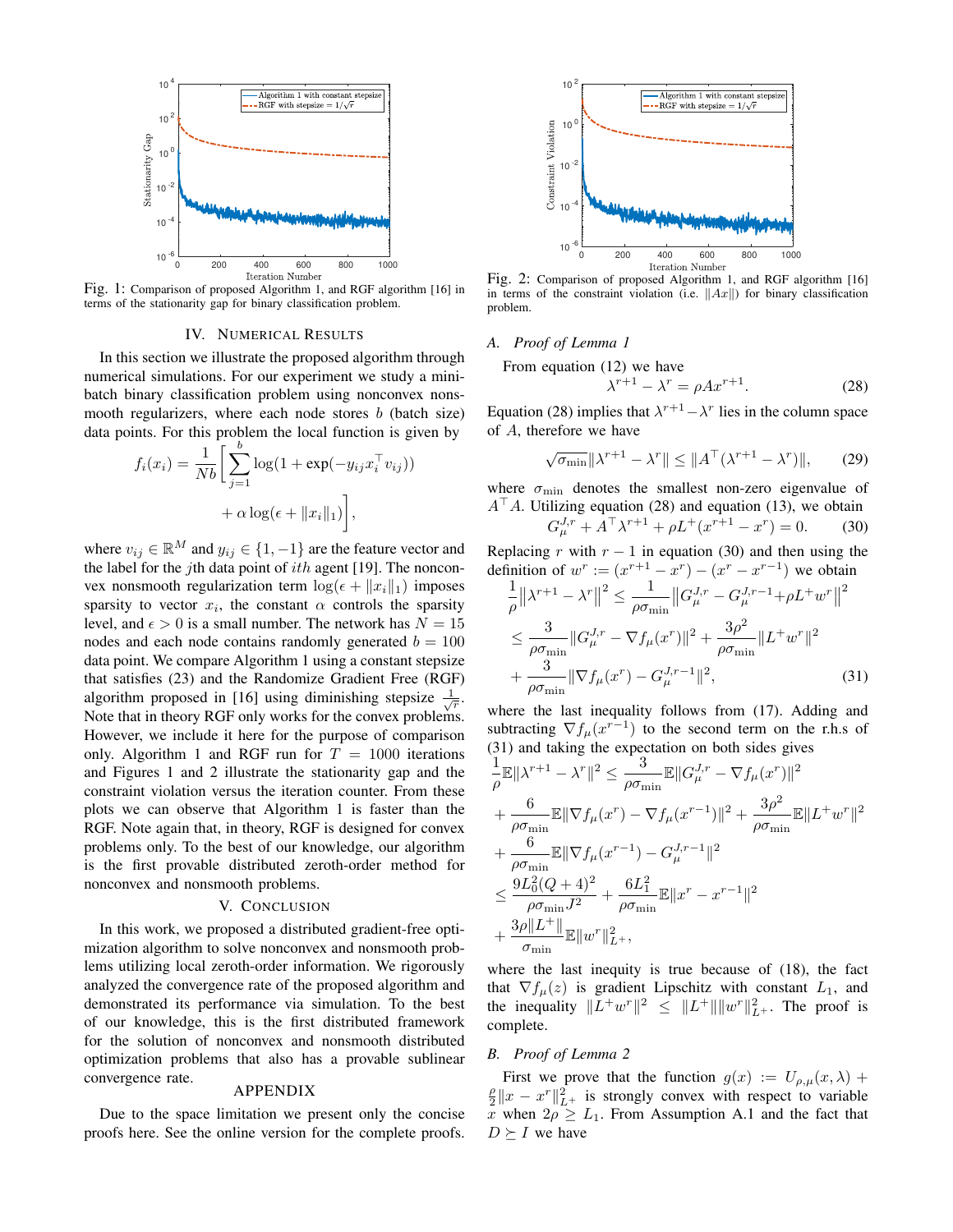

Fig. 1: Comparison of proposed Algorithm 1, and RGF algorithm [16] in terms of the stationarity gap for binary classification problem.

#### IV. NUMERICAL RESULTS

In this section we illustrate the proposed algorithm through numerical simulations. For our experiment we study a minibatch binary classification problem using nonconvex nonsmooth regularizers, where each node stores  $b$  (batch size) data points. For this problem the local function is given by

$$
f_i(x_i) = \frac{1}{Nb} \left[ \sum_{j=1}^{b} \log(1 + \exp(-y_{ij}x_i^{\top} v_{ij})) + \alpha \log(\epsilon + ||x_i||_1) \right],
$$

where  $v_{ij} \in \mathbb{R}^M$  and  $y_{ij} \in \{1, -1\}$  are the feature vector and the label for the jth data point of  $ith$  agent [19]. The nonconvex nonsmooth regularization term  $\log(\epsilon + \|x_i\|_1)$  imposes sparsity to vector  $x_i$ , the constant  $\alpha$  controls the sparsity level, and  $\epsilon > 0$  is a small number. The network has  $N = 15$ nodes and each node contains randomly generated  $b = 100$ data point. We compare Algorithm 1 using a constant stepsize that satisfies (23) and the Randomize Gradient Free (RGF) algorithm proposed in [16] using diminishing stepsize  $\frac{1}{\sqrt{r}}$ . Note that in theory RGF only works for the convex problems. However, we include it here for the purpose of comparison only. Algorithm 1 and RGF run for  $T = 1000$  iterations and Figures 1 and 2 illustrate the stationarity gap and the constraint violation versus the iteration counter. From these plots we can observe that Algorithm 1 is faster than the RGF. Note again that, in theory, RGF is designed for convex problems only. To the best of our knowledge, our algorithm is the first provable distributed zeroth-order method for nonconvex and nonsmooth problems.

## V. CONCLUSION

In this work, we proposed a distributed gradient-free optimization algorithm to solve nonconvex and nonsmooth problems utilizing local zeroth-order information. We rigorously analyzed the convergence rate of the proposed algorithm and demonstrated its performance via simulation. To the best of our knowledge, this is the first distributed framework for the solution of nonconvex and nonsmooth distributed optimization problems that also has a provable sublinear convergence rate.

### APPENDIX

Due to the space limitation we present only the concise proofs here. See the online version for the complete proofs.



Fig. 2: Comparison of proposed Algorithm 1, and RGF algorithm [16] in terms of the constraint violation (i.e.  $||Ax||$ ) for binary classification problem.

# *A. Proof of Lemma 1*

From equation (12) we have

$$
\lambda^{r+1} - \lambda^r = \rho A x^{r+1}.
$$
 (28)

Equation (28) implies that  $\lambda^{r+1} - \lambda^r$  lies in the column space of A, therefore we have

$$
\sqrt{\sigma_{\min}} \|\lambda^{r+1} - \lambda^r\| \le \|A^\top (\lambda^{r+1} - \lambda^r)\|,\tag{29}
$$

where  $\sigma_{\text{min}}$  denotes the smallest non-zero eigenvalue of  $A^{\top}A$ . Utilizing equation (28) and equation (13), we obtain  $G_{\mu}^{J,r} + A^{\top} \lambda^{r+1} + \rho L^+(x^{r+1} - x^r) = 0.$  (30)

Replacing r with  $r - 1$  in equation (30) and then using the definition of  $w^r := (x^{r+1} - x^r) - (x^r - x^{r-1})$  we obtain

$$
\frac{1}{\rho} ||\lambda^{r+1} - \lambda^r||^2 \le \frac{1}{\rho \sigma_{\min}} ||G_{\mu}^{J,r} - G_{\mu}^{J,r-1} + \rho L^+ w^r||^2
$$
  

$$
\le \frac{3}{\rho \sigma_{\min}} ||G_{\mu}^{J,r} - \nabla f_{\mu}(x^r)||^2 + \frac{3\rho^2}{\rho \sigma_{\min}} ||L^+ w^r||^2
$$
  

$$
+ \frac{3}{\rho \sigma_{\min}} ||\nabla f_{\mu}(x^r) - G_{\mu}^{J,r-1}||^2,
$$
 (31)

where the last inequality follows from (17). Adding and subtracting  $\nabla f_\mu(x^{r-1})$  to the second term on the r.h.s of (31) and taking the expectation on both sides gives

$$
\frac{1}{\rho} \mathbb{E} ||\lambda^{r+1} - \lambda^{r}||^{2} \leq \frac{3}{\rho \sigma_{\min}} \mathbb{E} ||G_{\mu}^{J,r} - \nabla f_{\mu}(x^{r})||^{2} \n+ \frac{6}{\rho \sigma_{\min}} \mathbb{E} ||\nabla f_{\mu}(x^{r}) - \nabla f_{\mu}(x^{r-1})||^{2} + \frac{3\rho^{2}}{\rho \sigma_{\min}} \mathbb{E} ||L^{+}w^{r}||^{2} \n+ \frac{6}{\rho \sigma_{\min}} \mathbb{E} ||\nabla f_{\mu}(x^{r-1}) - G_{\mu}^{J,r-1}||^{2} \n\leq \frac{9L_{0}^{2}(Q+4)^{2}}{\rho \sigma_{\min} J^{2}} + \frac{6L_{1}^{2}}{\rho \sigma_{\min}} \mathbb{E} ||x^{r} - x^{r-1}||^{2} \n+ \frac{3\rho ||L^{+}||}{\sigma_{\min}} \mathbb{E} ||w^{r}||_{L^{+}}^{2},
$$

where the last inequity is true because of (18), the fact that  $\nabla f_{\mu}(z)$  is gradient Lipschitz with constant  $L_1$ , and the inequality  $||L^+w^r||^2 \le ||L^+|| ||w^r||^2_{L^+}$ . The proof is complete.

# *B. Proof of Lemma 2*

First we prove that the function  $g(x) := U_{\rho,\mu}(x,\lambda) +$  $\frac{\rho}{2} \|x - x^r\|_{L^+}^2$  is strongly convex with respect to variable x when  $2\rho \geq L_1$ . From Assumption A.1 and the fact that  $D \succeq I$  we have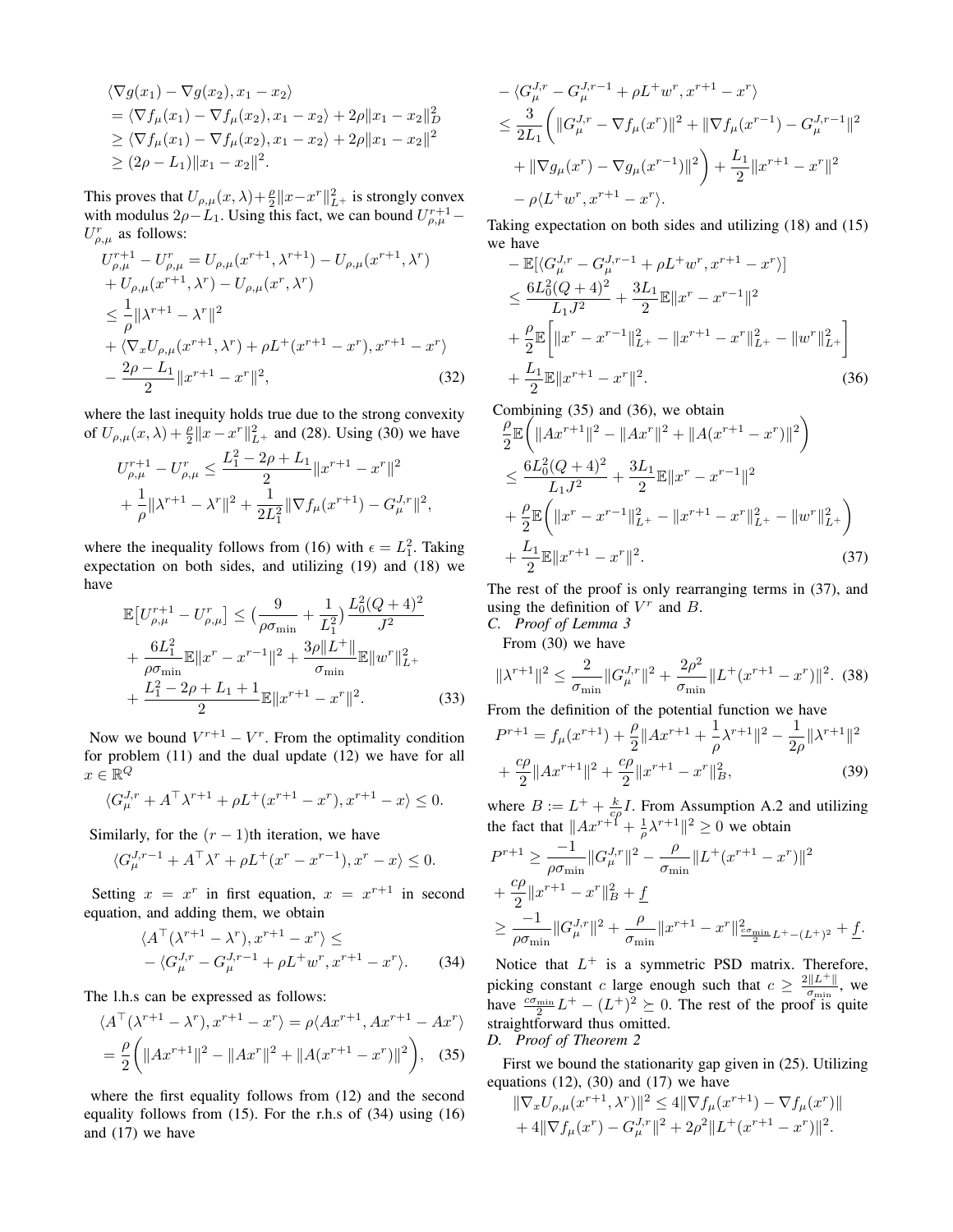$$
\langle \nabla g(x_1) - \nabla g(x_2), x_1 - x_2 \rangle
$$
  
=  $\langle \nabla f_\mu(x_1) - \nabla f_\mu(x_2), x_1 - x_2 \rangle + 2\rho ||x_1 - x_2||_D^2$   
 $\ge \langle \nabla f_\mu(x_1) - \nabla f_\mu(x_2), x_1 - x_2 \rangle + 2\rho ||x_1 - x_2||^2$   
 $\ge (2\rho - L_1) ||x_1 - x_2||^2$ .

This proves that  $U_{\rho,\mu}(x,\lambda) + \frac{\rho}{2} ||x - x^r||_{L^+}^2$  is strongly convex with modulus  $2\rho - L_1$ . Using this fact, we can bound  $U_{\rho,\mu}^{r+1}$  –  $U_{\rho,\mu}^r$  as follows:

$$
U_{\rho,\mu}^{r+1} - U_{\rho,\mu}^{r} = U_{\rho,\mu}(x^{r+1}, \lambda^{r+1}) - U_{\rho,\mu}(x^{r+1}, \lambda^{r})
$$
  
+  $U_{\rho,\mu}(x^{r+1}, \lambda^{r}) - U_{\rho,\mu}(x^{r}, \lambda^{r})$   
 $\leq \frac{1}{\rho} ||\lambda^{r+1} - \lambda^{r}||^{2}$   
+  $\langle \nabla_{x} U_{\rho,\mu}(x^{r+1}, \lambda^{r}) + \rho L^{+}(x^{r+1} - x^{r}), x^{r+1} - x^{r} \rangle$   
-  $\frac{2\rho - L_{1}}{2} ||x^{r+1} - x^{r}||^{2},$  (32)

where the last inequity holds true due to the strong convexity of  $U_{\rho,\mu}(x,\lambda) + \frac{\rho}{2} \|x - x^r\|_{L^+}^2$  and (28). Using (30) we have

$$
U_{\rho,\mu}^{r+1} - U_{\rho,\mu}^r \le \frac{L_1^2 - 2\rho + L_1}{2} \|x^{r+1} - x^r\|^2
$$
  
+ 
$$
\frac{1}{\rho} \|\lambda^{r+1} - \lambda^r\|^2 + \frac{1}{2L_1^2} \|\nabla f_\mu(x^{r+1}) - G_\mu^{J,r}\|^2,
$$

where the inequality follows from (16) with  $\epsilon = L_1^2$ . Taking expectation on both sides, and utilizing (19) and (18) we have

$$
\mathbb{E}\left[U_{\rho,\mu}^{r+1} - U_{\rho,\mu}^r\right] \leq \left(\frac{9}{\rho\sigma_{\min}} + \frac{1}{L_1^2}\right) \frac{L_0^2 (Q+4)^2}{J^2} + \frac{6L_1^2}{\rho\sigma_{\min}} \mathbb{E} \|x^r - x^{r-1}\|^2 + \frac{3\rho \|L^+\|}{\sigma_{\min}} \mathbb{E} \|w^r\|_{L^+}^2 + \frac{L_1^2 - 2\rho + L_1 + 1}{2} \mathbb{E} \|x^{r+1} - x^r\|^2. \tag{33}
$$

Now we bound  $V^{r+1} - V^r$ . From the optimality condition for problem (11) and the dual update (12) we have for all  $x \in \mathbb{R}^Q$ 

$$
\langle G_{\mu}^{J,r} + A^{\top} \lambda^{r+1} + \rho L^+(x^{r+1} - x^r), x^{r+1} - x \rangle \le 0.
$$

Similarly, for the  $(r - 1)$ th iteration, we have

$$
\langle G_{\mu}^{J,r-1}+A^\top\lambda^r+\rho L^+(x^r-x^{r-1}), x^r-x\rangle\leq 0.
$$

Setting  $x = x^r$  in first equation,  $x = x^{r+1}$  in second equation, and adding them, we obtain

$$
\langle A^{\top}(\lambda^{r+1} - \lambda^r), x^{r+1} - x^r \rangle \le
$$
  
- \langle G\_{\mu}^{J,r} - G\_{\mu}^{J,r-1} + \rho L^+ w^r, x^{r+1} - x^r \rangle. (34)

The l.h.s can be expressed as follows:

$$
\langle A^{\top}(\lambda^{r+1} - \lambda^{r}), x^{r+1} - x^{r} \rangle = \rho \langle Ax^{r+1}, Ax^{r+1} - Ax^{r} \rangle
$$
  
=  $\frac{\rho}{2} \left( \|Ax^{r+1}\|^2 - \|Ax^{r}\|^2 + \|A(x^{r+1} - x^{r})\|^2 \right),$  (35)

where the first equality follows from (12) and the second equality follows from (15). For the r.h.s of (34) using (16) and (17) we have

$$
- \langle G_{\mu}^{J,r} - G_{\mu}^{J,r-1} + \rho L^{+} w^{r}, x^{r+1} - x^{r} \rangle
$$
  
\n
$$
\leq \frac{3}{2L_{1}} \left( \|G_{\mu}^{J,r} - \nabla f_{\mu}(x^{r})\|^{2} + \|\nabla f_{\mu}(x^{r-1}) - G_{\mu}^{J,r-1}\|^{2} + \|\nabla g_{\mu}(x^{r}) - \nabla g_{\mu}(x^{r-1})\|^{2} \right) + \frac{L_{1}}{2} \|x^{r+1} - x^{r}\|^{2}
$$
  
\n
$$
- \rho \langle L^{+} w^{r}, x^{r+1} - x^{r} \rangle.
$$

Taking expectation on both sides and utilizing (18) and (15) we have

$$
-\mathbb{E}[\langle G_{\mu}^{J,r} - G_{\mu}^{J,r-1} + \rho L^{+} w^{r}, x^{r+1} - x^{r} \rangle] \n\leq \frac{6L_{0}^{2}(Q+4)^{2}}{L_{1}J^{2}} + \frac{3L_{1}}{2} \mathbb{E} \|x^{r} - x^{r-1}\|^{2} \n+ \frac{\rho}{2} \mathbb{E} \Big[ \|x^{r} - x^{r-1}\|_{L^{+}}^{2} - \|x^{r+1} - x^{r}\|_{L^{+}}^{2} - \|w^{r}\|_{L^{+}}^{2} \Big] \n+ \frac{L_{1}}{2} \mathbb{E} \|x^{r+1} - x^{r}\|^{2}.
$$
\n(36)

Combining (35) and (36), we obtain

$$
\frac{\rho}{2} \mathbb{E} \left( \|Ax^{r+1}\|^2 - \|Ax^r\|^2 + \|A(x^{r+1} - x^r)\|^2 \right) \n\leq \frac{6L_0^2 (Q+4)^2}{L_1 J^2} + \frac{3L_1}{2} \mathbb{E} \|x^r - x^{r-1}\|^2 \n+ \frac{\rho}{2} \mathbb{E} \left( \|x^r - x^{r-1}\|_{L^+}^2 - \|x^{r+1} - x^r\|_{L^+}^2 - \|w^r\|_{L^+}^2 \right) \n+ \frac{L_1}{2} \mathbb{E} \|x^{r+1} - x^r\|^2.
$$
\n(37)

The rest of the proof is only rearranging terms in (37), and using the definition of  $V^r$  and  $B$ .

*C. Proof of Lemma 3* From (30) we have

$$
\|\lambda^{r+1}\|^2 \le \frac{2}{\sigma_{\min}} \|G_{\mu}^{J,r}\|^2 + \frac{2\rho^2}{\sigma_{\min}} \|L^+(x^{r+1} - x^r)\|^2. \tag{38}
$$

From the definition of the potential function we have

$$
P^{r+1} = f_{\mu}(x^{r+1}) + \frac{\rho}{2} ||Ax^{r+1} + \frac{1}{\rho}\lambda^{r+1}||^2 - \frac{1}{2\rho} ||\lambda^{r+1}||^2
$$
  
+ 
$$
\frac{c\rho}{2} ||Ax^{r+1}||^2 + \frac{c\rho}{2} ||x^{r+1} - x^r||_B^2,
$$
 (39)

where  $B := L^+ + \frac{k}{c\rho}I$ . From Assumption A.2 and utilizing the fact that  $||Ax^{r+1} + \frac{1}{\rho}\lambda^{r+1}||^2 \ge 0$  we obtain

$$
P^{r+1} \ge \frac{-1}{\rho \sigma_{\min}} \|G_{\mu}^{J,r}\|^2 - \frac{\rho}{\sigma_{\min}} \|L^+(x^{r+1} - x^r)\|^2
$$
  
+ 
$$
\frac{c\rho}{2} \|x^{r+1} - x^r\|_B^2 + \underline{f}
$$
  

$$
\ge \frac{-1}{\rho \sigma_{\min}} \|G_{\mu}^{J,r}\|^2 + \frac{\rho}{\sigma_{\min}} \|x^{r+1} - x^r\|_{\frac{c\sigma_{\min}}{2}L^+ - (L^+)^2}^2 + \underline{f}.
$$

Notice that  $L^+$  is a symmetric PSD matrix. Therefore, picking constant c large enough such that  $c \geq \frac{2||L^+||}{\sigma}$  $rac{\|L\|}{\sigma_{\min}}$ , we have  $\frac{c\sigma_{\min}}{2}L^+ - (L^+)^2 \succeq 0$ . The rest of the proof is quite straightforward thus omitted.

*D. Proof of Theorem 2*

First we bound the stationarity gap given in (25). Utilizing equations  $(12)$ ,  $(30)$  and  $(17)$  we have

$$
\|\nabla_x U_{\rho,\mu}(x^{r+1},\lambda^r)\|^2 \le 4\|\nabla f_{\mu}(x^{r+1}) - \nabla f_{\mu}(x^r)\| + 4\|\nabla f_{\mu}(x^r) - G_{\mu}^{J,r}\|^2 + 2\rho^2\|L^+(x^{r+1} - x^r)\|^2.
$$